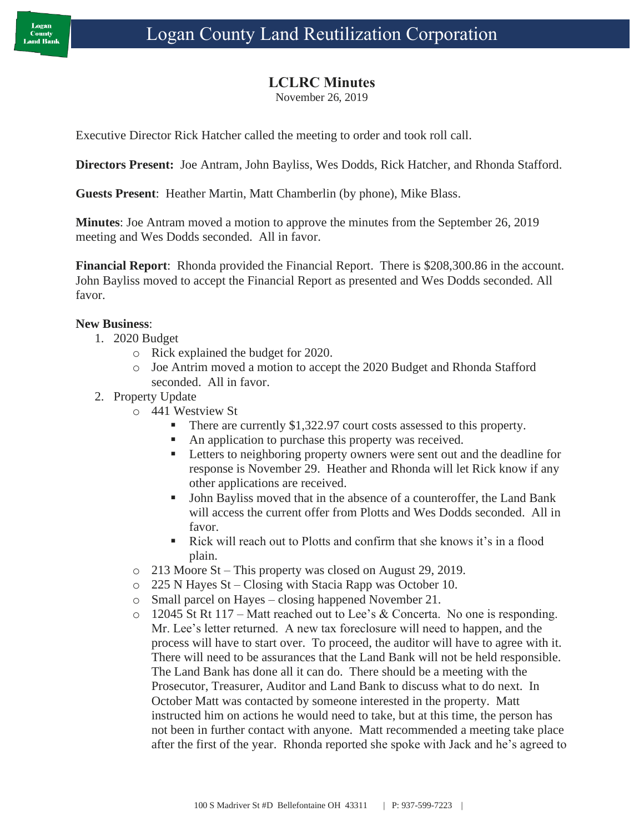## **LCLRC Minutes**

November 26, 2019

Executive Director Rick Hatcher called the meeting to order and took roll call.

**Directors Present:** Joe Antram, John Bayliss, Wes Dodds, Rick Hatcher, and Rhonda Stafford.

**Guests Present**: Heather Martin, Matt Chamberlin (by phone), Mike Blass.

**Minutes**: Joe Antram moved a motion to approve the minutes from the September 26, 2019 meeting and Wes Dodds seconded. All in favor.

**Financial Report**: Rhonda provided the Financial Report. There is \$208,300.86 in the account. John Bayliss moved to accept the Financial Report as presented and Wes Dodds seconded. All favor.

## **New Business**:

- 1. 2020 Budget
	- o Rick explained the budget for 2020.
	- o Joe Antrim moved a motion to accept the 2020 Budget and Rhonda Stafford seconded. All in favor.
- 2. Property Update
	- o 441 Westview St
		- There are currently \$1,322.97 court costs assessed to this property.
		- An application to purchase this property was received.
		- **EXECUTE:** Letters to neighboring property owners were sent out and the deadline for response is November 29. Heather and Rhonda will let Rick know if any other applications are received.
		- John Bayliss moved that in the absence of a counteroffer, the Land Bank will access the current offer from Plotts and Wes Dodds seconded. All in favor.
		- $\blacksquare$  Rick will reach out to Plotts and confirm that she knows it's in a flood plain.
	- o 213 Moore St This property was closed on August 29, 2019.
	- o 225 N Hayes St Closing with Stacia Rapp was October 10.
	- o Small parcel on Hayes closing happened November 21.
	- $\circ$  12045 St Rt 117 Matt reached out to Lee's & Concerta. No one is responding. Mr. Lee's letter returned. A new tax foreclosure will need to happen, and the process will have to start over. To proceed, the auditor will have to agree with it. There will need to be assurances that the Land Bank will not be held responsible. The Land Bank has done all it can do. There should be a meeting with the Prosecutor, Treasurer, Auditor and Land Bank to discuss what to do next. In October Matt was contacted by someone interested in the property. Matt instructed him on actions he would need to take, but at this time, the person has not been in further contact with anyone. Matt recommended a meeting take place after the first of the year. Rhonda reported she spoke with Jack and he's agreed to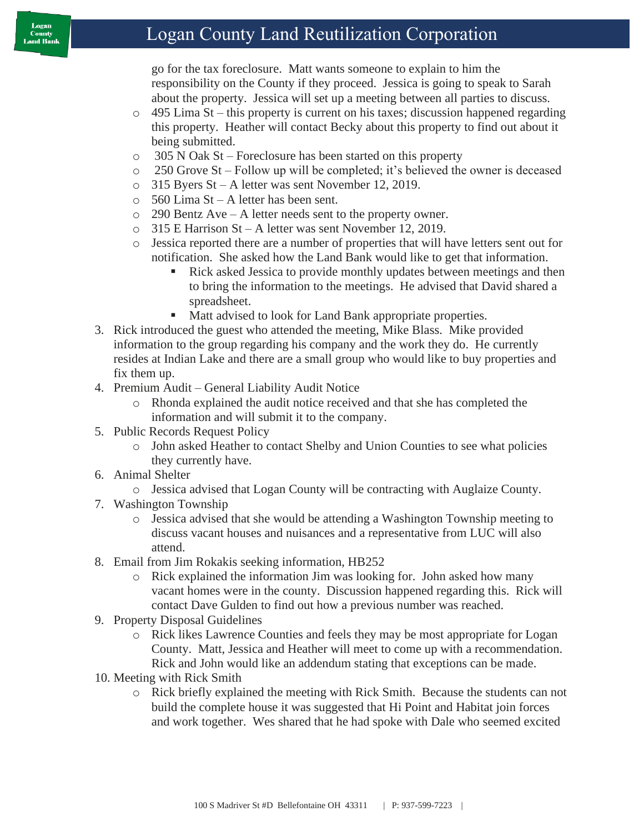## Logan County Land Reutilization Corporation

go for the tax foreclosure. Matt wants someone to explain to him the responsibility on the County if they proceed. Jessica is going to speak to Sarah about the property. Jessica will set up a meeting between all parties to discuss.

- o 495 Lima St this property is current on his taxes; discussion happened regarding this property. Heather will contact Becky about this property to find out about it being submitted.
- o 305 N Oak St Foreclosure has been started on this property
- o 250 Grove St Follow up will be completed; it's believed the owner is deceased
- o 315 Byers St A letter was sent November 12, 2019.
- o 560 Lima St A letter has been sent.
- o 290 Bentz Ave A letter needs sent to the property owner.
- o 315 E Harrison St A letter was sent November 12, 2019.
- o Jessica reported there are a number of properties that will have letters sent out for notification. She asked how the Land Bank would like to get that information.
	- Rick asked Jessica to provide monthly updates between meetings and then to bring the information to the meetings. He advised that David shared a spreadsheet.
	- Matt advised to look for Land Bank appropriate properties.
- 3. Rick introduced the guest who attended the meeting, Mike Blass. Mike provided information to the group regarding his company and the work they do. He currently resides at Indian Lake and there are a small group who would like to buy properties and fix them up.
- 4. Premium Audit General Liability Audit Notice
	- o Rhonda explained the audit notice received and that she has completed the information and will submit it to the company.
- 5. Public Records Request Policy
	- o John asked Heather to contact Shelby and Union Counties to see what policies they currently have.
- 6. Animal Shelter
	- o Jessica advised that Logan County will be contracting with Auglaize County.
- 7. Washington Township
	- o Jessica advised that she would be attending a Washington Township meeting to discuss vacant houses and nuisances and a representative from LUC will also attend.
- 8. Email from Jim Rokakis seeking information, HB252
	- o Rick explained the information Jim was looking for. John asked how many vacant homes were in the county. Discussion happened regarding this. Rick will contact Dave Gulden to find out how a previous number was reached.
- 9. Property Disposal Guidelines
	- o Rick likes Lawrence Counties and feels they may be most appropriate for Logan County. Matt, Jessica and Heather will meet to come up with a recommendation. Rick and John would like an addendum stating that exceptions can be made.
- 10. Meeting with Rick Smith
	- o Rick briefly explained the meeting with Rick Smith. Because the students can not build the complete house it was suggested that Hi Point and Habitat join forces and work together. Wes shared that he had spoke with Dale who seemed excited